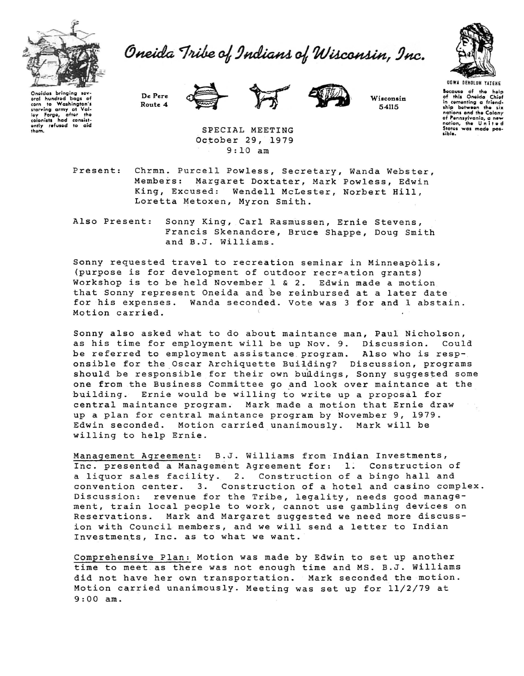

Oneida Tribe of Indians of Wisconsin, Inc.



Onoidas bringing sav-<br>aral hundred haas of oral hundrod bags of<br>corn to Washington's **1 corn 10 Washington's**<br> **1 1 co**<br> **1 colonists** had consist-<br> **1 colonists** had consist-<br> **1 property refused** to aid them.

De Perc Route 4





Wisconsin 54115

**Bocause** of the holp of this Oneida Chiof in comenting a friend-<br>ship between the six **ship between the six**<br>nations ond the Colony<br>of Pennsylvania, a new<br>nation, the U n i t e d<br>Stotes was made possible.

SPECIAL MEETING October 29, 1979 9:10 am

Present: Chrmn. Purcell Powless, Secretary, Wanda Webster, Margaret Doxtater, Mark Powless, Edwin King, Excused: Wendell McLester, Norbert Hill, Loretta Metoxen, Myron Smith.

Also Present: Sonny King, Carl Rasmussen, Ernie Stevens, Francis Skenandore, Bruce Shappe, Doug Smith and B.J. Williams.

Sonny requested travel to recreation seminar in Minneapolis, (purpose is for development of outdoor recroation grants) Workshop is to be held November 1 & 2. Edwin made a motion that Sonny represent Oneida and be reinbursed at a later date for his expenses. Wanda seconded. Vote was 3 for and 1 abstain. Motion carried.

Sonny also asked what to do about maintance man, Paul Nicholson,<br>as his time for employment will be up Nov. 9. Discussion. Could as his time for employment will be up Nov. 9. Discussion. be referred to employment assistance program. Also who is responsible for the Oscar Archiquette Building? Discussion, programs should be responsible for their own buildings, Sonny suggested some one from the Business Committee go and look over maintance at the building. Ernie would be willing to write up a proposal for central maintance program. Mark made a motion that Ernie draw up a plan for central maintance program by November 9, 1979. Edwin seconded. Motion carried unanimously. Mark will be willing to help Ernie.

Management Agreement: B.J. Williams from Indian Investments, Inc. presented a Management Agreement for: 1. Construction of a liquor sales facility. 2. Construction of a bingo hall and convention center. 3. Construction of a hotel and casino complex. Discussion: revenue for the Tribe, legality, needs good management, train local people to work, cannot use gambling devices on Reservations. Mark and Margaret suggested we need more discussion with Council members, and we will send a letter to Indian Investments, Inc. as to what we want.

Comprehensive Plan: Motion was made by Edwin to set up another time to meet . as there was not enough time and MS. B.J. Williams did not have her own transportation. Mark seconded the motion. Motion carried unanimously. Meeting was set up for 11/2/79 at 9:00 am.